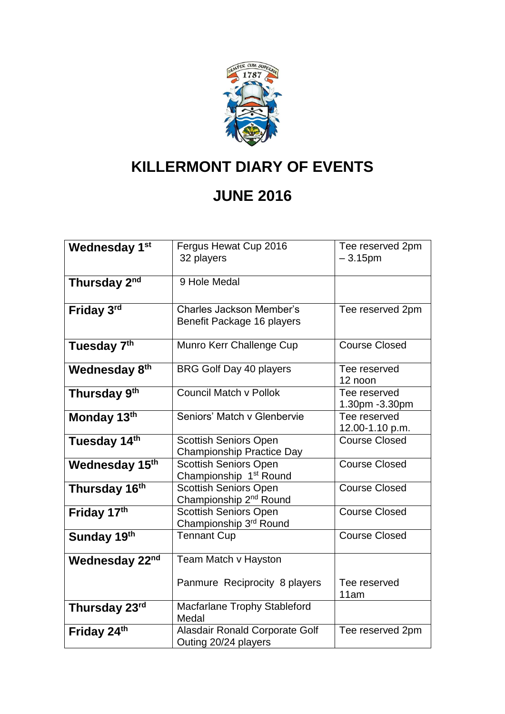

## **KILLERMONT DIARY OF EVENTS**

## **JUNE 2016**

| Wednesday 1st            | Fergus Hewat Cup 2016<br>32 players                                | Tee reserved 2pm<br>$-3.15$ pm  |
|--------------------------|--------------------------------------------------------------------|---------------------------------|
| Thursday 2 <sup>nd</sup> | 9 Hole Medal                                                       |                                 |
| Friday 3rd               | <b>Charles Jackson Member's</b><br>Benefit Package 16 players      | Tee reserved 2pm                |
| Tuesday 7th              | Munro Kerr Challenge Cup                                           | <b>Course Closed</b>            |
| Wednesday 8th            | <b>BRG Golf Day 40 players</b>                                     | Tee reserved<br>12 noon         |
| Thursday 9th             | Council Match y Pollok                                             | Tee reserved<br>1.30pm - 3.30pm |
| Monday 13th              | Seniors' Match y Glenbervie                                        | Tee reserved<br>12.00-1.10 p.m. |
| Tuesday 14th             | <b>Scottish Seniors Open</b><br><b>Championship Practice Day</b>   | <b>Course Closed</b>            |
| Wednesday 15th           | Scottish Seniors Open<br>Championship 1 <sup>st</sup> Round        | <b>Course Closed</b>            |
| Thursday 16th            | <b>Scottish Seniors Open</b><br>Championship 2 <sup>nd</sup> Round | <b>Course Closed</b>            |
| Friday 17th              | <b>Scottish Seniors Open</b><br>Championship 3rd Round             | <b>Course Closed</b>            |
| Sunday 19th              | <b>Tennant Cup</b>                                                 | <b>Course Closed</b>            |
| Wednesday 22nd           | Team Match v Hayston                                               |                                 |
|                          | Panmure Reciprocity 8 players                                      | Tee reserved<br>11am            |
| Thursday 23rd            | Macfarlane Trophy Stableford<br>Medal                              |                                 |
| Friday 24th              | Alasdair Ronald Corporate Golf<br>Outing 20/24 players             | Tee reserved 2pm                |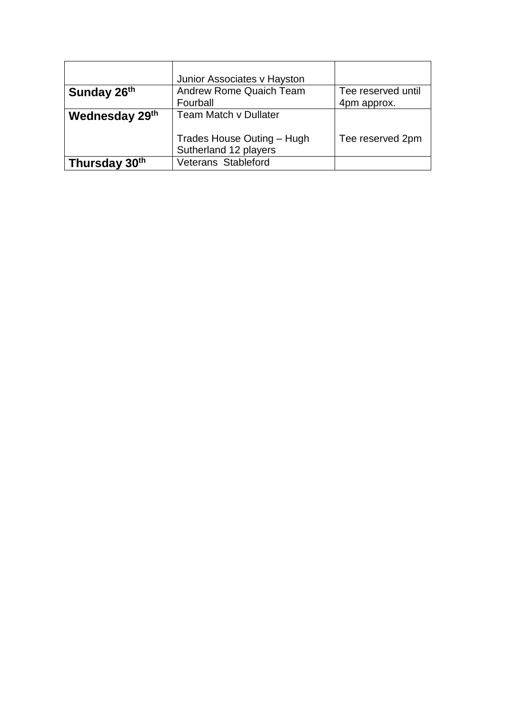|                | Junior Associates v Hayston                         |                    |
|----------------|-----------------------------------------------------|--------------------|
| Sunday 26th    | <b>Andrew Rome Quaich Team</b>                      | Tee reserved until |
|                | Fourball                                            | 4pm approx.        |
| Wednesday 29th | <b>Team Match v Dullater</b>                        |                    |
|                | Trades House Outing - Hugh<br>Sutherland 12 players | Tee reserved 2pm   |
| Thursday 30th  | Veterans Stableford                                 |                    |